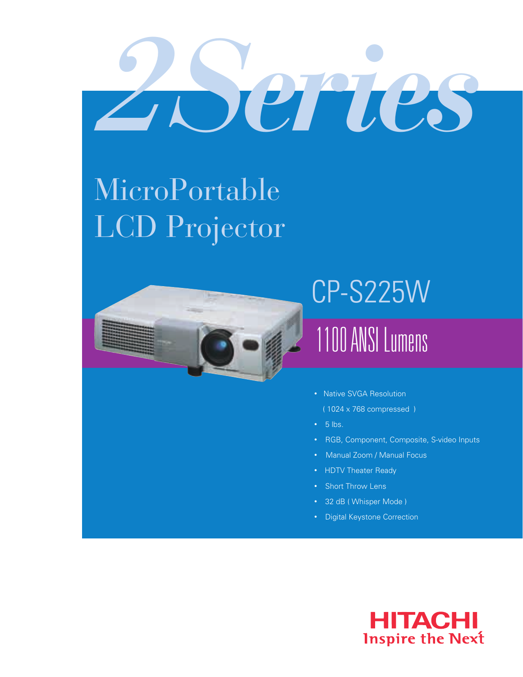# *2 Series*

## MicroPortable LCD Projector



## 1100 ANSI Lumens CP-S225W

- Native SVGA Resolution
	- ( 1024 x 768 compressed )
- $5$  lbs.
- RGB, Component, Composite, S-video Inputs
- Manual Zoom / Manual Focus
- HDTV Theater Ready
- Short Throw Lens
- 32 dB ( Whisper Mode )
- Digital Keystone Correction